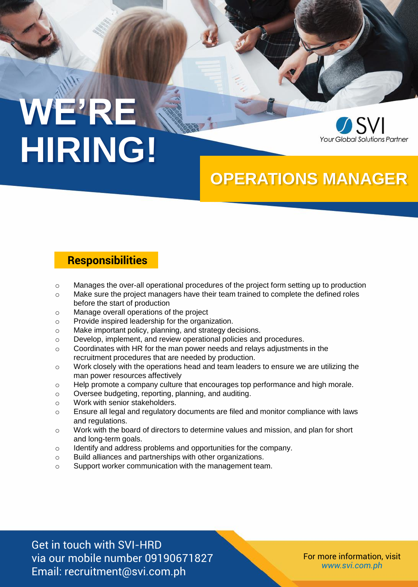# **WE'RE HIRING!**



### **OPERATIONS MANAGER**

### **Responsibilities**

- $\circ$  Manages the over-all operational procedures of the project form setting up to production
- $\circ$  Make sure the project managers have their team trained to complete the defined roles before the start of production
- o Manage overall operations of the project
- o Provide inspired leadership for the organization.
- o Make important policy, planning, and strategy decisions.
- o Develop, implement, and review operational policies and procedures.
- o Coordinates with HR for the man power needs and relays adjustments in the recruitment procedures that are needed by production.
- o Work closely with the operations head and team leaders to ensure we are utilizing the man power resources affectively
- o Help promote a company culture that encourages top performance and high morale.
- o Oversee budgeting, reporting, planning, and auditing.
- o Work with senior stakeholders.
- o Ensure all legal and regulatory documents are filed and monitor compliance with laws and regulations.
- o Work with the board of directors to determine values and mission, and plan for short and long-term goals.
- o Identify and address problems and opportunities for the company.
- o Build alliances and partnerships with other organizations.
- o Support worker communication with the management team.

Get in touch with SVI-HRD via our mobile number 09190671827 Email: recruitment@svi.com.ph

For more information, visit *www.svi.com.ph*